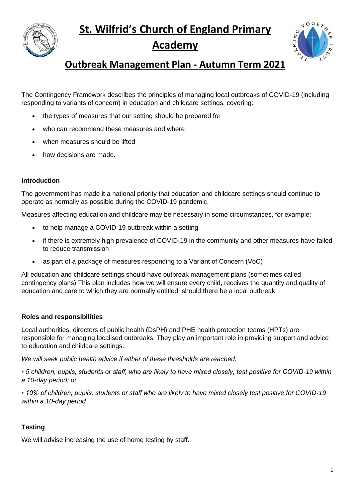**St. Wilfrid's Church of England Primary** 



# **Academy**



# **Outbreak Management Plan - Autumn Term 2021**

The Contingency Framework describes the principles of managing local outbreaks of COVID-19 (including responding to variants of concern) in education and childcare settings, covering:

- the types of measures that our setting should be prepared for
- who can recommend these measures and where
- when measures should be lifted
- how decisions are made.

# **Introduction**

The government has made it a national priority that education and childcare settings should continue to operate as normally as possible during the COVID-19 pandemic.

Measures affecting education and childcare may be necessary in some circumstances, for example:

- to help manage a COVID-19 outbreak within a setting
- if there is extremely high prevalence of COVID-19 in the community and other measures have failed to reduce transmission
- as part of a package of measures responding to a Variant of Concern (VoC)

All education and childcare settings should have outbreak management plans (sometimes called contingency plans) This plan includes how we will ensure every child, receives the quantity and quality of education and care to which they are normally entitled, should there be a local outbreak.

# **Roles and responsibilities**

Local authorities, directors of public health (DsPH) and PHE health protection teams (HPTs) are responsible for managing localised outbreaks. They play an important role in providing support and advice to education and childcare settings.

*We will seek public health advice if either of these thresholds are reached:* 

*• 5 children, pupils, students or staff, who are likely to have mixed closely, test positive for COVID-19 within a 10-day period; or* 

*• 10% of children, pupils, students or staff who are likely to have mixed closely test positive for COVID-19 within a 10-day period*

# **Testing**

We will advise increasing the use of home testing by staff.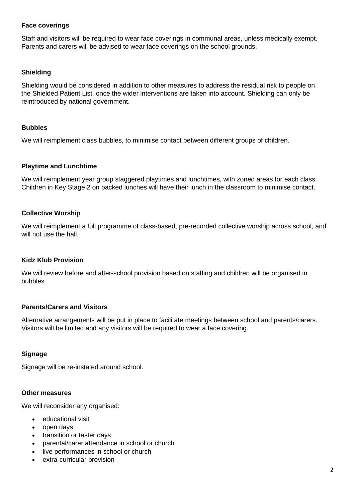## **Face coverings**

Staff and visitors will be required to wear face coverings in communal areas, unless medically exempt. Parents and carers will be advised to wear face coverings on the school grounds.

#### **Shielding**

Shielding would be considered in addition to other measures to address the residual risk to people on the Shielded Patient List, once the wider interventions are taken into account. Shielding can only be reintroduced by national government.

### **Bubbles**

We will reimplement class bubbles, to minimise contact between different groups of children.

#### **Playtime and Lunchtime**

We will reimplement year group staggered playtimes and lunchtimes, with zoned areas for each class. Children in Key Stage 2 on packed lunches will have their lunch in the classroom to minimise contact.

## **Collective Worship**

We will reimplement a full programme of class-based, pre-recorded collective worship across school, and will not use the hall.

## **Kidz Klub Provision**

We will review before and after-school provision based on staffing and children will be organised in bubbles.

## **Parents/Carers and Visitors**

Alternative arrangements will be put in place to facilitate meetings between school and parents/carers. Visitors will be limited and any visitors will be required to wear a face covering.

#### **Signage**

Signage will be re-instated around school.

#### **Other measures**

We will reconsider any organised:

- educational visit
- open days
- transition or taster days
- parental/carer attendance in school or church
- live performances in school or church
- extra-curricular provision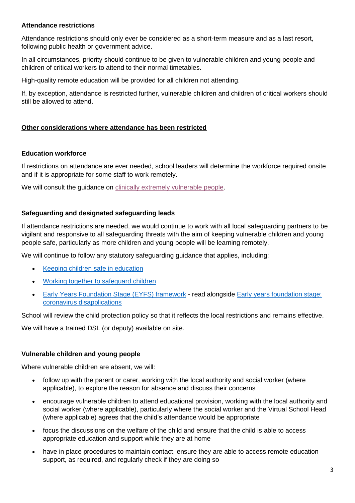## **Attendance restrictions**

Attendance restrictions should only ever be considered as a short-term measure and as a last resort, following public health or government advice.

In all circumstances, priority should continue to be given to vulnerable children and young people and children of critical workers to attend to their normal timetables.

High-quality remote education will be provided for all children not attending.

If, by exception, attendance is restricted further, vulnerable children and children of critical workers should still be allowed to attend.

## **Other considerations where attendance has been restricted**

### **Education workforce**

If restrictions on attendance are ever needed, school leaders will determine the workforce required onsite and if it is appropriate for some staff to work remotely.

We will consult the quidance on [clinically extremely vulnerable people.](https://www.gov.uk/government/publications/guidance-on-shielding-and-protecting-extremely-vulnerable-persons-from-covid-19/guidance-on-shielding-and-protecting-extremely-vulnerable-persons-from-covid-19)

## **Safeguarding and designated safeguarding leads**

If attendance restrictions are needed, we would continue to work with all local safeguarding partners to be vigilant and responsive to all safeguarding threats with the aim of keeping vulnerable children and young people safe, particularly as more children and young people will be learning remotely.

We will continue to follow any statutory safeguarding guidance that applies, including:

- [Keeping children safe in education](https://www.gov.uk/government/publications/keeping-children-safe-in-education--2)
- [Working together to safeguard children](https://www.gov.uk/government/publications/working-together-to-safeguard-children--2)
- [Early Years Foundation Stage \(EYFS\) framework](https://www.gov.uk/government/publications/early-years-foundation-stage-framework--2) read alongside [Early years foundation stage:](https://www.gov.uk/government/publications/early-years-foundation-stage-framework--2/early-years-foundation-stage-coronavirus-disapplications#disapplications-for-the-early-years-foundation-stage-section-3)  [coronavirus disapplications](https://www.gov.uk/government/publications/early-years-foundation-stage-framework--2/early-years-foundation-stage-coronavirus-disapplications#disapplications-for-the-early-years-foundation-stage-section-3)

School will review the child protection policy so that it reflects the local restrictions and remains effective.

We will have a trained DSL (or deputy) available on site.

#### **Vulnerable children and young people**

Where vulnerable children are absent, we will:

- follow up with the parent or carer, working with the local authority and social worker (where applicable), to explore the reason for absence and discuss their concerns
- encourage vulnerable children to attend educational provision, working with the local authority and social worker (where applicable), particularly where the social worker and the Virtual School Head (where applicable) agrees that the child's attendance would be appropriate
- focus the discussions on the welfare of the child and ensure that the child is able to access appropriate education and support while they are at home
- have in place procedures to maintain contact, ensure they are able to access remote education support, as required, and requiarly check if they are doing so